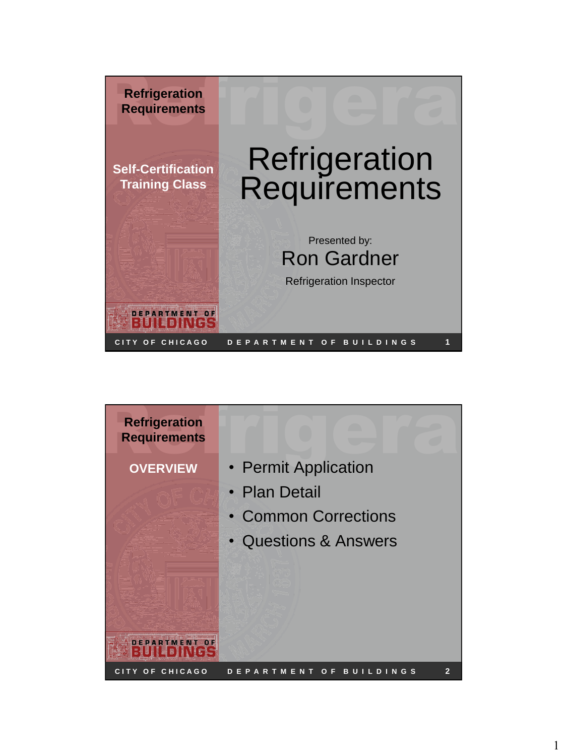

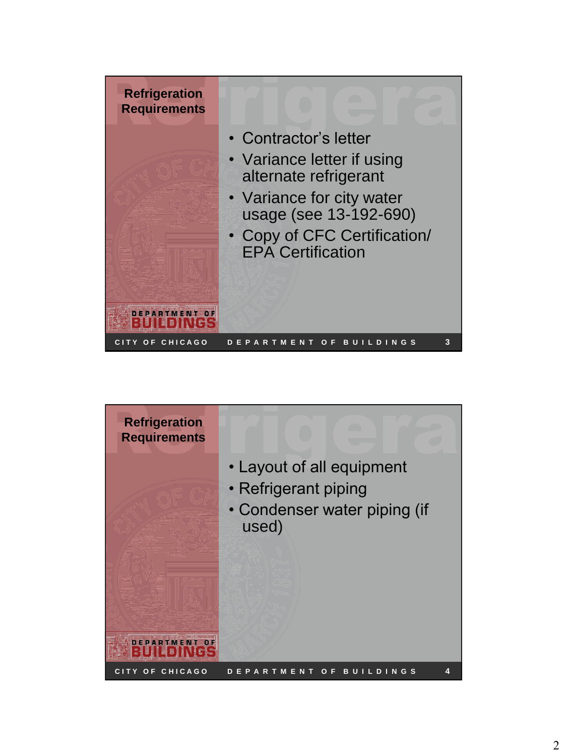

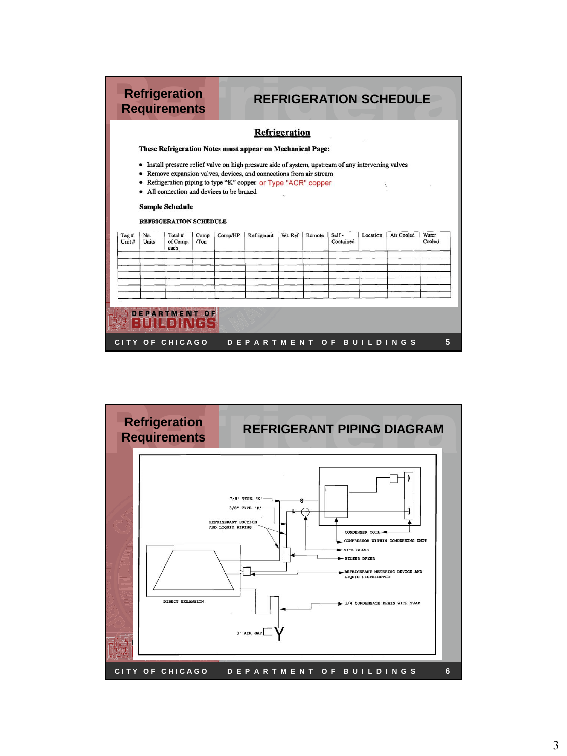|               |              |                                                              |             |                                         | These Refrigeration Notes must appear on Mechanical Page:                                                                                                                                                                              | Refrigeration |        |                    |          |            |                 |
|---------------|--------------|--------------------------------------------------------------|-------------|-----------------------------------------|----------------------------------------------------------------------------------------------------------------------------------------------------------------------------------------------------------------------------------------|---------------|--------|--------------------|----------|------------|-----------------|
|               |              | <b>Sample Schedule</b>                                       |             | All connection and devices to be brazed | Install pressure relief valve on high pressure side of system, upstream of any intervening valves<br>Remove expansion valves, devices, and connections from air stream<br>Refrigeration piping to type "K" copper or Type "ACR" copper |               |        |                    |          |            |                 |
|               |              |                                                              |             |                                         |                                                                                                                                                                                                                                        |               |        |                    |          |            |                 |
| Tag#<br>Unit# | No.<br>Units | <b>REFRIGERATION SCHEDULE</b><br>Total #<br>of Comp.<br>each | Comp<br>Ton | Comp/HP                                 | Refrigerant                                                                                                                                                                                                                            | Wt. Ref       | Remote | Self-<br>Contained | Location | Air Cooled | Water<br>Cooled |
|               |              |                                                              |             |                                         |                                                                                                                                                                                                                                        |               |        |                    |          |            |                 |

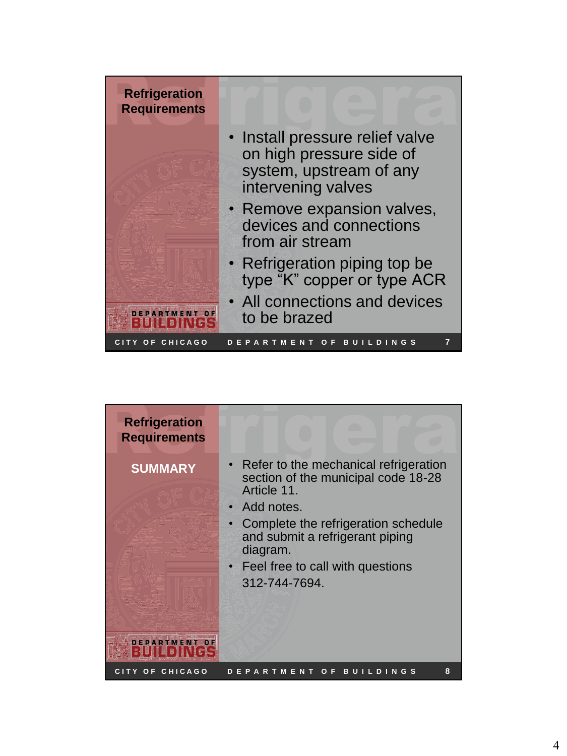

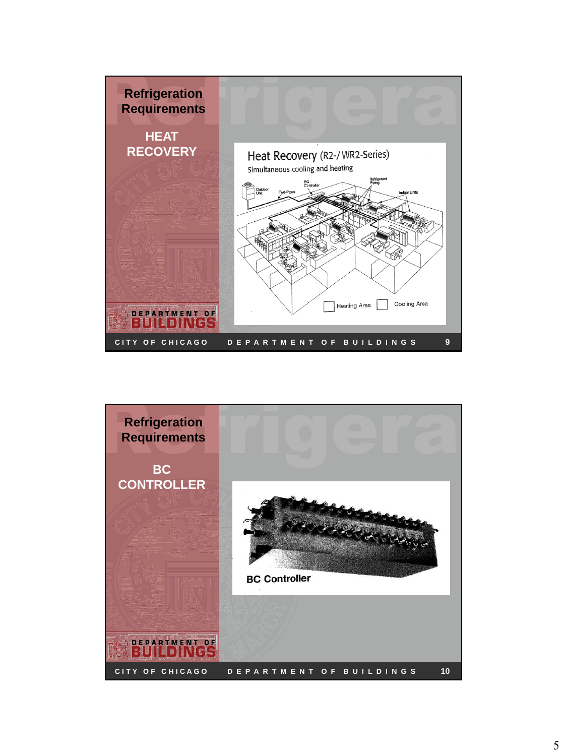

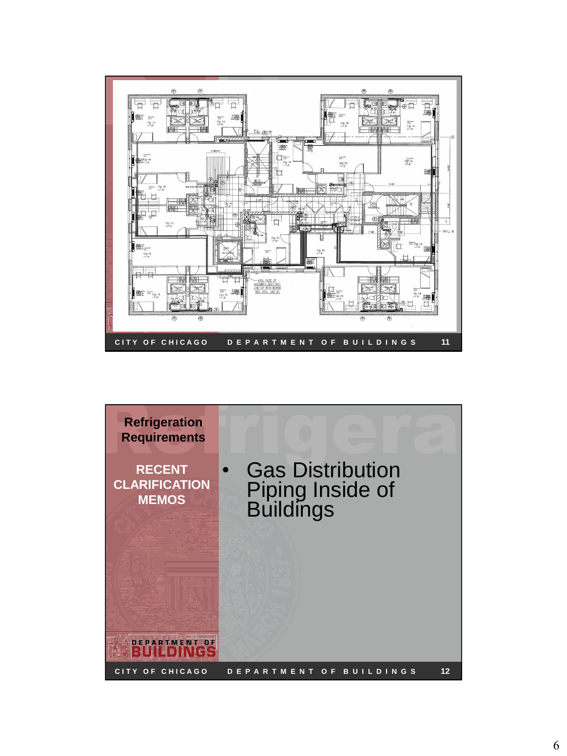